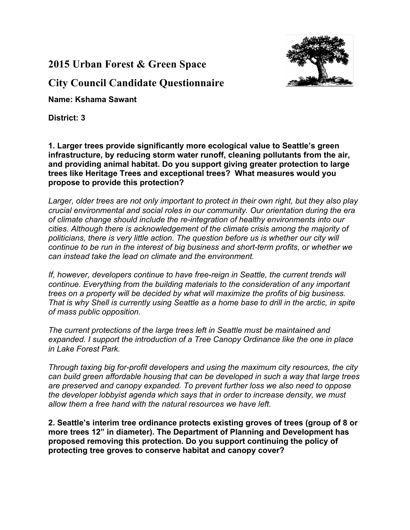**2015 Urban Forest & Green Space** 



**City Council Candidate Questionnaire**

**Name: Kshama Sawant**

**District: 3**

**1. Larger trees provide significantly more ecological value to Seattle's green infrastructure, by reducing storm water runoff, cleaning pollutants from the air, and providing animal habitat. Do you support giving greater protection to large trees like Heritage Trees and exceptional trees? What measures would you propose to provide this protection?**

*Larger, older trees are not only important to protect in their own right, but they also play crucial environmental and social roles in our community. Our orientation during the era of climate change should include the re-integration of healthy environments into our cities. Although there is acknowledgement of the climate crisis among the majority of politicians, there is very little action. The question before us is whether our city will continue to be run in the interest of big business and short-term profits, or whether we can instead take the lead on climate and the environment.* 

*If, however, developers continue to have free-reign in Seattle, the current trends will continue. Everything from the building materials to the consideration of any important trees on a property will be decided by what will maximize the profits of big business. That is why Shell is currently using Seattle as a home base to drill in the arctic, in spite of mass public opposition.* 

*The current protections of the large trees left in Seattle must be maintained and expanded. I support the introduction of a Tree Canopy Ordinance like the one in place in Lake Forest Park.* 

*Through taxing big for-profit developers and using the maximum city resources, the city can build green affordable housing that can be developed in such a way that large trees are preserved and canopy expanded. To prevent further loss we also need to oppose the developer lobbyist agenda which says that in order to increase density, we must allow them a free hand with the natural resources we have left.*

**2. Seattle's interim tree ordinance protects existing groves of trees (group of 8 or more trees 12" in diameter). The Department of Planning and Development has proposed removing this protection. Do you support continuing the policy of protecting tree groves to conserve habitat and canopy cover?**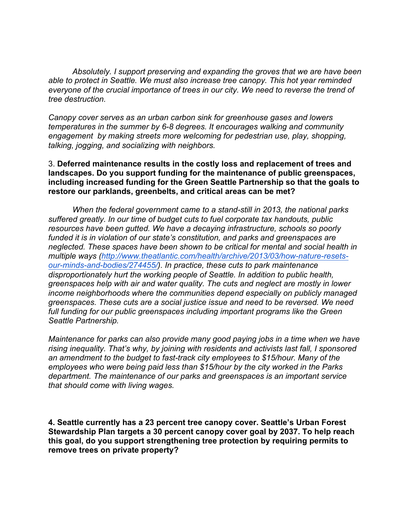*Absolutely. I support preserving and expanding the groves that we are have been able to protect in Seattle. We must also increase tree canopy. This hot year reminded everyone of the crucial importance of trees in our city. We need to reverse the trend of tree destruction.* 

*Canopy cover serves as an urban carbon sink for greenhouse gases and lowers temperatures in the summer by 6-8 degrees. It encourages walking and community engagement by making streets more welcoming for pedestrian use, play, shopping, talking, jogging, and socializing with neighbors.* 

3. **Deferred maintenance results in the costly loss and replacement of trees and landscapes. Do you support funding for the maintenance of public greenspaces, including increased funding for the Green Seattle Partnership so that the goals to restore our parklands, greenbelts, and critical areas can be met?**

*When the federal government came to a stand-still in 2013, the national parks suffered greatly. In our time of budget cuts to fuel corporate tax handouts, public resources have been gutted. We have a decaying infrastructure, schools so poorly funded it is in violation of our state's constitution, and parks and greenspaces are neglected. These spaces have been shown to be critical for mental and social health in multiple ways (http://www.theatlantic.com/health/archive/2013/03/how-nature-resetsour-minds-and-bodies/274455/). In practice, these cuts to park maintenance disproportionately hurt the working people of Seattle. In addition to public health, greenspaces help with air and water quality. The cuts and neglect are mostly in lower income neighborhoods where the communities depend especially on publicly managed greenspaces. These cuts are a social justice issue and need to be reversed. We need full funding for our public greenspaces including important programs like the Green Seattle Partnership.*

*Maintenance for parks can also provide many good paying jobs in a time when we have rising inequality. That's why, by joining with residents and activists last fall, I sponsored an amendment to the budget to fast-track city employees to \$15/hour. Many of the employees who were being paid less than \$15/hour by the city worked in the Parks department. The maintenance of our parks and greenspaces is an important service that should come with living wages.* 

**4. Seattle currently has a 23 percent tree canopy cover. Seattle's Urban Forest Stewardship Plan targets a 30 percent canopy cover goal by 2037. To help reach this goal, do you support strengthening tree protection by requiring permits to remove trees on private property?**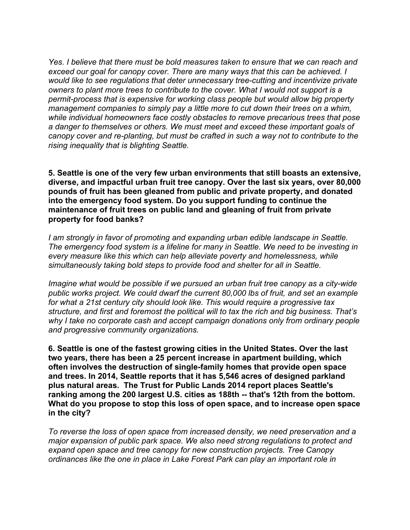*Yes. I believe that there must be bold measures taken to ensure that we can reach and exceed our goal for canopy cover. There are many ways that this can be achieved. I would like to see regulations that deter unnecessary tree-cutting and incentivize private owners to plant more trees to contribute to the cover. What I would not support is a permit-process that is expensive for working class people but would allow big property management companies to simply pay a little more to cut down their trees on a whim, while individual homeowners face costly obstacles to remove precarious trees that pose a danger to themselves or others. We must meet and exceed these important goals of canopy cover and re-planting, but must be crafted in such a way not to contribute to the rising inequality that is blighting Seattle.*

**5. Seattle is one of the very few urban environments that still boasts an extensive, diverse, and impactful urban fruit tree canopy. Over the last six years, over 80,000 pounds of fruit has been gleaned from public and private property, and donated into the emergency food system. Do you support funding to continue the maintenance of fruit trees on public land and gleaning of fruit from private property for food banks?**

*I am strongly in favor of promoting and expanding urban edible landscape in Seattle. The emergency food system is a lifeline for many in Seattle. We need to be investing in every measure like this which can help alleviate poverty and homelessness, while simultaneously taking bold steps to provide food and shelter for all in Seattle.* 

*Imagine what would be possible if we pursued an urban fruit tree canopy as a city-wide public works project. We could dwarf the current 80,000 lbs of fruit, and set an example for what a 21st century city should look like. This would require a progressive tax structure, and first and foremost the political will to tax the rich and big business. That's why I take no corporate cash and accept campaign donations only from ordinary people and progressive community organizations.* 

**6. Seattle is one of the fastest growing cities in the United States. Over the last two years, there has been a 25 percent increase in apartment building, which often involves the destruction of single-family homes that provide open space and trees. In 2014, Seattle reports that it has 5,546 acres of designed parkland plus natural areas. The Trust for Public Lands 2014 report places Seattle's ranking among the 200 largest U.S. cities as 188th -- that's 12th from the bottom. What do you propose to stop this loss of open space, and to increase open space in the city?**

*To reverse the loss of open space from increased density, we need preservation and a major expansion of public park space. We also need strong regulations to protect and expand open space and tree canopy for new construction projects. Tree Canopy ordinances like the one in place in Lake Forest Park can play an important role in*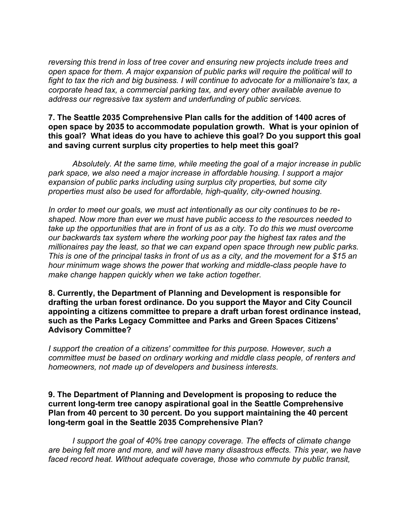*reversing this trend in loss of tree cover and ensuring new projects include trees and open space for them. A major expansion of public parks will require the political will to fight to tax the rich and big business. I will continue to advocate for a millionaire's tax, a corporate head tax, a commercial parking tax, and every other available avenue to address our regressive tax system and underfunding of public services.*

## **7. The Seattle 2035 Comprehensive Plan calls for the addition of 1400 acres of open space by 2035 to accommodate population growth. What is your opinion of this goal? What ideas do you have to achieve this goal? Do you support this goal and saving current surplus city properties to help meet this goal?**

*Absolutely. At the same time, while meeting the goal of a major increase in public park space, we also need a major increase in affordable housing. I support a major expansion of public parks including using surplus city properties, but some city properties must also be used for affordable, high-quality, city-owned housing.* 

*In order to meet our goals, we must act intentionally as our city continues to be reshaped. Now more than ever we must have public access to the resources needed to take up the opportunities that are in front of us as a city. To do this we must overcome our backwards tax system where the working poor pay the highest tax rates and the millionaires pay the least, so that we can expand open space through new public parks. This is one of the principal tasks in front of us as a city, and the movement for a \$15 an hour minimum wage shows the power that working and middle-class people have to make change happen quickly when we take action together.* 

**8. Currently, the Department of Planning and Development is responsible for drafting the urban forest ordinance. Do you support the Mayor and City Council appointing a citizens committee to prepare a draft urban forest ordinance instead, such as the Parks Legacy Committee and Parks and Green Spaces Citizens' Advisory Committee?**

*I* support the creation of a citizens' committee for this purpose. However, such a *committee must be based on ordinary working and middle class people, of renters and homeowners, not made up of developers and business interests.*

## **9. The Department of Planning and Development is proposing to reduce the current long-term tree canopy aspirational goal in the Seattle Comprehensive Plan from 40 percent to 30 percent. Do you support maintaining the 40 percent long-term goal in the Seattle 2035 Comprehensive Plan?**

*I support the goal of 40% tree canopy coverage. The effects of climate change are being felt more and more, and will have many disastrous effects. This year, we have faced record heat. Without adequate coverage, those who commute by public transit,*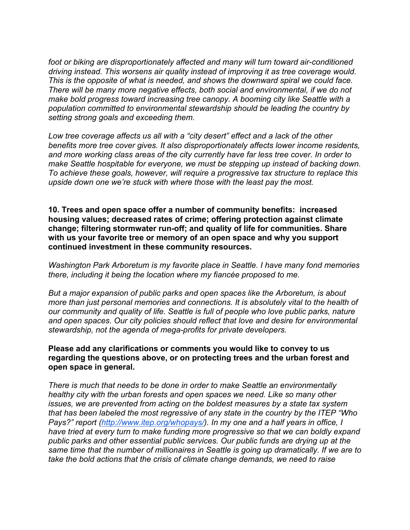*foot or biking are disproportionately affected and many will turn toward air-conditioned driving instead. This worsens air quality instead of improving it as tree coverage would. This is the opposite of what is needed, and shows the downward spiral we could face. There will be many more negative effects, both social and environmental, if we do not make bold progress toward increasing tree canopy. A booming city like Seattle with a population committed to environmental stewardship should be leading the country by setting strong goals and exceeding them.* 

*Low tree coverage affects us all with a "city desert" effect and a lack of the other benefits more tree cover gives. It also disproportionately affects lower income residents, and more working class areas of the city currently have far less tree cover. In order to make Seattle hospitable for everyone, we must be stepping up instead of backing down. To achieve these goals, however, will require a progressive tax structure to replace this upside down one we're stuck with where those with the least pay the most.*

**10. Trees and open space offer a number of community benefits: increased housing values; decreased rates of crime; offering protection against climate change; filtering stormwater run-off; and quality of life for communities. Share with us your favorite tree or memory of an open space and why you support continued investment in these community resources.**

*Washington Park Arboretum is my favorite place in Seattle. I have many fond memories there, including it being the location where my fiancée proposed to me.*

*But a major expansion of public parks and open spaces like the Arboretum, is about more than just personal memories and connections. It is absolutely vital to the health of our community and quality of life. Seattle is full of people who love public parks, nature and open spaces. Our city policies should reflect that love and desire for environmental stewardship, not the agenda of mega-profits for private developers.*

## **Please add any clarifications or comments you would like to convey to us regarding the questions above, or on protecting trees and the urban forest and open space in general.**

*There is much that needs to be done in order to make Seattle an environmentally healthy city with the urban forests and open spaces we need. Like so many other issues, we are prevented from acting on the boldest measures by a state tax system that has been labeled the most regressive of any state in the country by the ITEP "Who Pays?" report (http://www.itep.org/whopays/). In my one and a half years in office, I have tried at every turn to make funding more progressive so that we can boldly expand public parks and other essential public services. Our public funds are drying up at the same time that the number of millionaires in Seattle is going up dramatically. If we are to take the bold actions that the crisis of climate change demands, we need to raise*